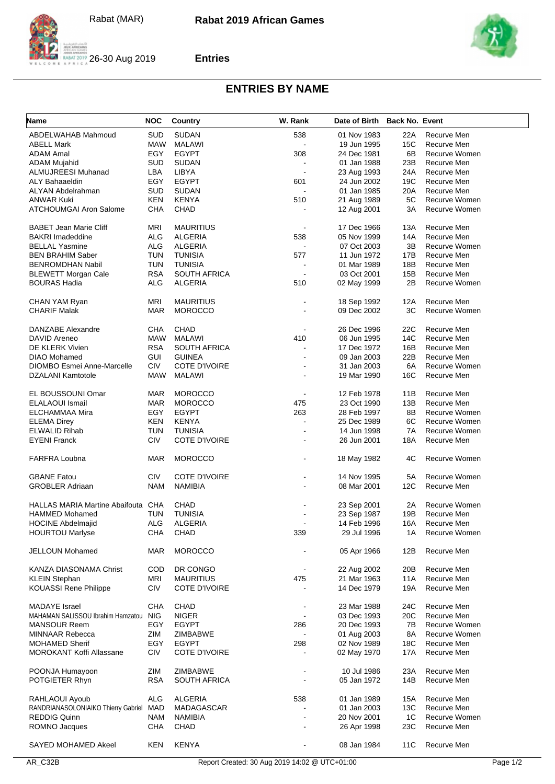

**Entries**



## **ENTRIES BY NAME**

| Name                                      | <b>NOC</b> | Country              | W. Rank                  | Date of Birth Back No. Event |     |               |
|-------------------------------------------|------------|----------------------|--------------------------|------------------------------|-----|---------------|
| ABDELWAHAB Mahmoud                        | SUD        | <b>SUDAN</b>         | 538                      | 01 Nov 1983                  | 22A | Recurve Men   |
| <b>ABELL Mark</b>                         | MAW        | <b>MALAWI</b>        |                          | 19 Jun 1995                  | 15C | Recurve Men   |
| <b>ADAM Amal</b>                          | EGY        | <b>EGYPT</b>         | 308                      | 24 Dec 1981                  | 6B  | Recurve Women |
| <b>ADAM Mujahid</b>                       | SUD        | <b>SUDAN</b>         |                          | 01 Jan 1988                  | 23B | Recurve Men   |
| ALMUJREESI Muhanad                        | LBA        | LIBYA                |                          | 23 Aug 1993                  | 24A | Recurve Men   |
| <b>ALY Bahaaeldin</b>                     | EGY        | <b>EGYPT</b>         | 601                      | 24 Jun 2002                  | 19C | Recurve Men   |
| ALYAN Abdelrahman                         | <b>SUD</b> | <b>SUDAN</b>         |                          | 01 Jan 1985                  | 20A | Recurve Men   |
| <b>ANWAR Kuki</b>                         | <b>KEN</b> | <b>KENYA</b>         | 510                      | 21 Aug 1989                  | 5C  | Recurve Women |
| <b>ATCHOUMGAI Aron Salome</b>             | CHA        | <b>CHAD</b>          |                          | 12 Aug 2001                  | 3A  | Recurve Women |
|                                           |            |                      |                          |                              |     |               |
| <b>BABET Jean Marie Cliff</b>             | MRI        | <b>MAURITIUS</b>     | $\overline{a}$           | 17 Dec 1966                  | 13A | Recurve Men   |
| <b>BAKRI Imadeddine</b>                   | <b>ALG</b> | <b>ALGERIA</b>       | 538                      | 05 Nov 1999                  | 14A | Recurve Men   |
| <b>BELLAL Yasmine</b>                     | <b>ALG</b> | ALGERIA              |                          | 07 Oct 2003                  | 3B  | Recurve Women |
| <b>BEN BRAHIM Saber</b>                   | <b>TUN</b> | <b>TUNISIA</b>       | 577                      | 11 Jun 1972                  | 17B | Recurve Men   |
| <b>BENROMDHAN Nabil</b>                   | <b>TUN</b> | <b>TUNISIA</b>       |                          | 01 Mar 1989                  | 18B | Recurve Men   |
| <b>BLEWETT Morgan Cale</b>                | <b>RSA</b> | <b>SOUTH AFRICA</b>  | $\overline{a}$           | 03 Oct 2001                  | 15B | Recurve Men   |
| <b>BOURAS Hadia</b>                       | ALG        | ALGERIA              | 510                      | 02 May 1999                  | 2B  | Recurve Women |
|                                           |            |                      |                          |                              |     |               |
| CHAN YAM Ryan                             | <b>MRI</b> | <b>MAURITIUS</b>     |                          | 18 Sep 1992                  | 12A | Recurve Men   |
| <b>CHARIF Malak</b>                       | <b>MAR</b> | <b>MOROCCO</b>       |                          | 09 Dec 2002                  | 3C  | Recurve Women |
|                                           |            |                      |                          |                              |     |               |
| DANZABE Alexandre                         | CHA        | CHAD                 |                          | 26 Dec 1996                  | 22C | Recurve Men   |
| DAVID Areneo                              | MAW        | MALAWI               | 410                      | 06 Jun 1995                  | 14C | Recurve Men   |
| DE KLERK Vivien                           | <b>RSA</b> | <b>SOUTH AFRICA</b>  |                          | 17 Dec 1972                  | 16B | Recurve Men   |
| <b>DIAO Mohamed</b>                       | <b>GUI</b> | <b>GUINEA</b>        |                          | 09 Jan 2003                  | 22B | Recurve Men   |
| <b>DIOMBO Esmei Anne-Marcelle</b>         | <b>CIV</b> | <b>COTE D'IVOIRE</b> |                          | 31 Jan 2003                  | 6A  | Recurve Women |
| <b>DZALANI Kamtotole</b>                  | MAW        | MALAWI               |                          | 19 Mar 1990                  | 16C | Recurve Men   |
|                                           |            |                      |                          |                              |     |               |
| EL BOUSSOUNI Omar                         | <b>MAR</b> | <b>MOROCCO</b>       | $\overline{\phantom{a}}$ | 12 Feb 1978                  | 11B | Recurve Men   |
| <b>ELALAOUI Ismail</b>                    | MAR        | <b>MOROCCO</b>       | 475                      | 23 Oct 1990                  | 13B | Recurve Men   |
| ELCHAMMAA Mira                            | EGY        | <b>EGYPT</b>         | 263                      | 28 Feb 1997                  | 8Β  | Recurve Women |
| <b>ELEMA Direy</b>                        | KEN        | <b>KENYA</b>         | $\blacksquare$           | 25 Dec 1989                  | 6C  | Recurve Women |
| <b>ELWALID Rihab</b>                      | <b>TUN</b> | <b>TUNISIA</b>       |                          | 14 Jun 1998                  | 7A  | Recurve Women |
| <b>EYENI Franck</b>                       | CIV        | <b>COTE D'IVOIRE</b> |                          | 26 Jun 2001                  | 18A | Recurve Men   |
| <b>FARFRA Loubna</b>                      | MAR        | <b>MOROCCO</b>       |                          | 18 May 1982                  | 4C  | Recurve Women |
|                                           |            |                      |                          |                              |     |               |
| <b>GBANE Fatou</b>                        | <b>CIV</b> | COTE D'IVOIRE        |                          | 14 Nov 1995                  | 5A  | Recurve Women |
| <b>GROBLER Adriaan</b>                    | <b>NAM</b> | <b>NAMIBIA</b>       |                          | 08 Mar 2001                  | 12C | Recurve Men   |
|                                           |            |                      |                          |                              |     |               |
| <b>HALLAS MARIA Martine Abaifouta CHA</b> |            | CHAD                 |                          | 23 Sep 2001                  | 2A  | Recurve Women |
| <b>HAMMED Mohamed</b>                     | <b>TUN</b> | <b>TUNISIA</b>       |                          | 23 Sep 1987                  | 19B | Recurve Men   |
| <b>HOCINE Abdelmajid</b>                  | ALG        | <b>ALGERIA</b>       | $\blacksquare$           | 14 Feb 1996                  | 16A | Recurve Men   |
| <b>HOURTOU Marlyse</b>                    | CHA        | CHAD                 | 339                      | 29 Jul 1996                  | 1A  | Recurve Women |
|                                           |            |                      |                          |                              |     |               |
| JELLOUN Mohamed                           | <b>MAR</b> | <b>MOROCCO</b>       |                          | 05 Apr 1966                  | 12B | Recurve Men   |
|                                           |            |                      |                          |                              |     |               |
| KANZA DIASONAMA Christ                    | COD        | DR CONGO             | $\blacksquare$           | 22 Aug 2002                  | 20B | Recurve Men   |
| <b>KLEIN Stephan</b>                      | MRI        | <b>MAURITIUS</b>     | 475                      | 21 Mar 1963                  | 11A | Recurve Men   |
| <b>KOUASSI Rene Philippe</b>              | CIV        | <b>COTE D'IVOIRE</b> |                          | 14 Dec 1979                  | 19A | Recurve Men   |
|                                           |            |                      |                          |                              |     |               |
| <b>MADAYE</b> Israel                      | CHA        | CHAD                 |                          | 23 Mar 1988                  | 24C | Recurve Men   |
| MAHAMAN SALISSOU Ibrahim Hamzatou         | <b>NIG</b> | <b>NIGER</b>         |                          | 03 Dec 1993                  | 20C | Recurve Men   |
| <b>MANSOUR Reem</b>                       | EGY        | <b>EGYPT</b>         | 286                      | 20 Dec 1993                  | 7В  | Recurve Women |
| <b>MINNAAR Rebecca</b>                    | ZIM        | ZIMBABWE             |                          | 01 Aug 2003                  | 8A  | Recurve Women |
| <b>MOHAMED Sherif</b>                     | EGY        | EGYPT                | 298                      | 02 Nov 1989                  | 18C | Recurve Men   |
| MOROKANT Koffi Allassane                  | CIV        | COTE D'IVOIRE        |                          | 02 May 1970                  | 17A | Recurve Men   |
|                                           |            |                      |                          |                              |     |               |
| POONJA Humayoon                           | ZIM        | ZIMBABWE             |                          | 10 Jul 1986                  | 23A | Recurve Men   |
| POTGIETER Rhyn                            | <b>RSA</b> | <b>SOUTH AFRICA</b>  |                          | 05 Jan 1972                  | 14B | Recurve Men   |
| RAHLAOUI Ayoub                            | <b>ALG</b> | ALGERIA              | 538                      | 01 Jan 1989                  | 15A | Recurve Men   |
| RANDRIANASOLONIAIKO Thierry Gabriel       | <b>MAD</b> | MADAGASCAR           |                          | 01 Jan 2003                  | 13C | Recurve Men   |
| <b>REDDIG Quinn</b>                       | NAM        | NAMIBIA              |                          | 20 Nov 2001                  | 1C  | Recurve Women |
| ROMNO Jacques                             | CHA        | CHAD                 |                          | 26 Apr 1998                  | 23C | Recurve Men   |
|                                           |            |                      |                          |                              |     |               |
| SAYED MOHAMED Akeel                       | <b>KEN</b> | <b>KENYA</b>         | $\blacksquare$           | 08 Jan 1984                  | 11C | Recurve Men   |